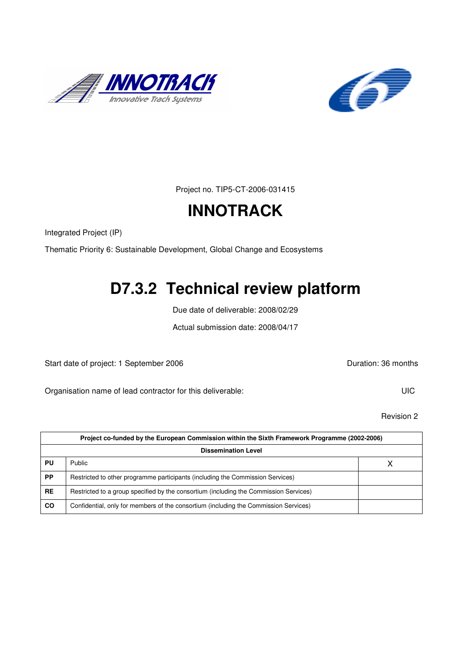



Project no. TIP5-CT-2006-031415

# **INNOTRACK**

Integrated Project (IP)

Thematic Priority 6: Sustainable Development, Global Change and Ecosystems

# **D7.3.2 Technical review platform**

Due date of deliverable: 2008/02/29

Actual submission date: 2008/04/17

Start date of project: 1 September 2006 **Duration: 36 months** 

Organisation name of lead contractor for this deliverable: UIC

Revision 2

| Project co-funded by the European Commission within the Sixth Framework Programme (2002-2006) |                                                                                       |  |  |  |
|-----------------------------------------------------------------------------------------------|---------------------------------------------------------------------------------------|--|--|--|
| <b>Dissemination Level</b>                                                                    |                                                                                       |  |  |  |
| PU                                                                                            | Public                                                                                |  |  |  |
| <b>PP</b>                                                                                     | Restricted to other programme participants (including the Commission Services)        |  |  |  |
| <b>RE</b>                                                                                     | Restricted to a group specified by the consortium (including the Commission Services) |  |  |  |
| <b>CO</b>                                                                                     | Confidential, only for members of the consortium (including the Commission Services)  |  |  |  |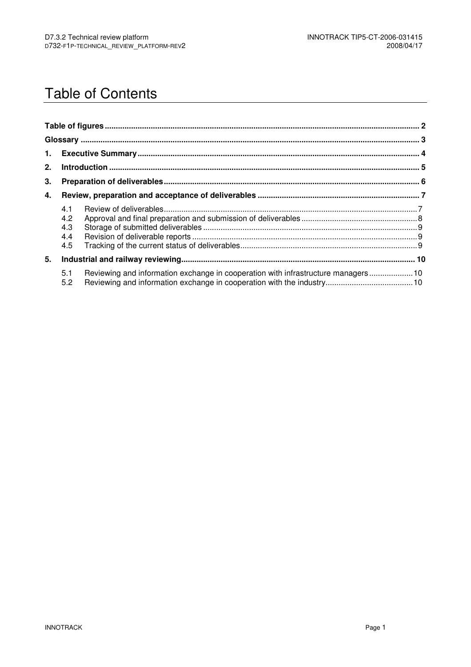## Table of Contents

| 2. |                                 |                                                                                  |  |  |
|----|---------------------------------|----------------------------------------------------------------------------------|--|--|
| 3. |                                 |                                                                                  |  |  |
| 4. |                                 |                                                                                  |  |  |
|    | 4.1<br>4.2<br>4.3<br>4.4<br>4.5 |                                                                                  |  |  |
| 5. |                                 |                                                                                  |  |  |
|    | 5.1<br>5.2                      | Reviewing and information exchange in cooperation with infrastructure managers10 |  |  |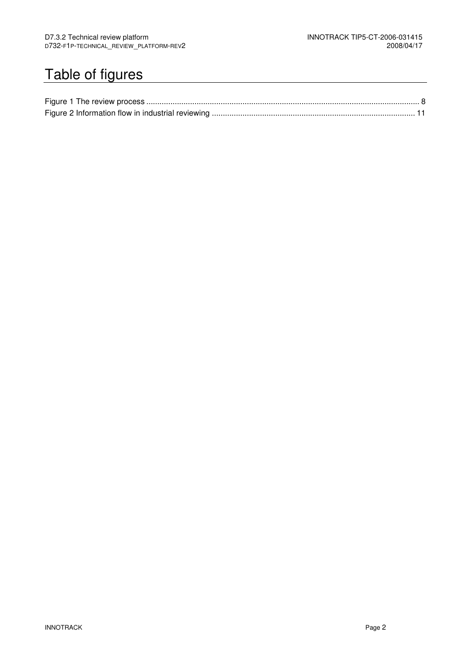# Table of figures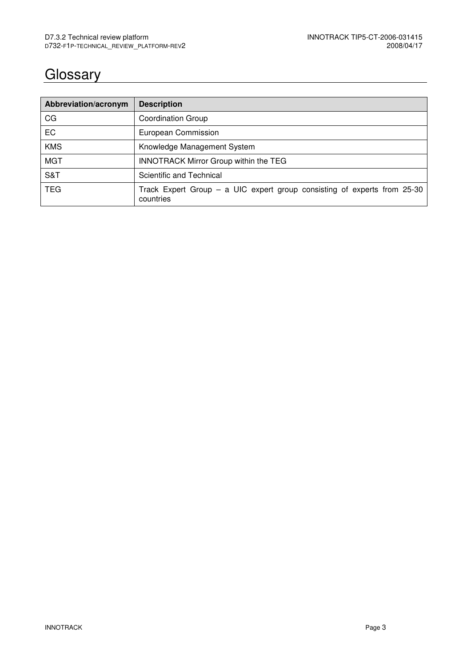# **Glossary**

| Abbreviation/acronym | <b>Description</b>                                                                      |
|----------------------|-----------------------------------------------------------------------------------------|
| CG                   | <b>Coordination Group</b>                                                               |
| EC                   | European Commission                                                                     |
| <b>KMS</b>           | Knowledge Management System                                                             |
| <b>MGT</b>           | <b>INNOTRACK Mirror Group within the TEG</b>                                            |
| S&T                  | Scientific and Technical                                                                |
| TEG.                 | Track Expert Group $-$ a UIC expert group consisting of experts from 25-30<br>countries |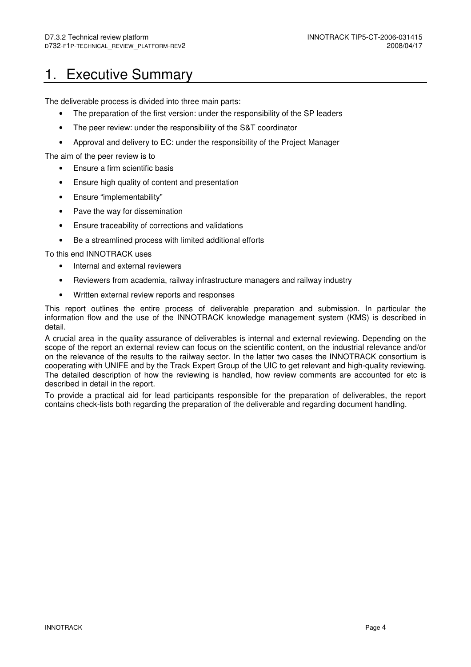## 1. Executive Summary

The deliverable process is divided into three main parts:

- The preparation of the first version: under the responsibility of the SP leaders
- The peer review: under the responsibility of the S&T coordinator
- Approval and delivery to EC: under the responsibility of the Project Manager

The aim of the peer review is to

- Ensure a firm scientific basis
- Ensure high quality of content and presentation
- Ensure "implementability"
- Pave the way for dissemination
- Ensure traceability of corrections and validations
- Be a streamlined process with limited additional efforts

To this end INNOTRACK uses

- Internal and external reviewers
- Reviewers from academia, railway infrastructure managers and railway industry
- Written external review reports and responses

This report outlines the entire process of deliverable preparation and submission. In particular the information flow and the use of the INNOTRACK knowledge management system (KMS) is described in detail.

A crucial area in the quality assurance of deliverables is internal and external reviewing. Depending on the scope of the report an external review can focus on the scientific content, on the industrial relevance and/or on the relevance of the results to the railway sector. In the latter two cases the INNOTRACK consortium is cooperating with UNIFE and by the Track Expert Group of the UIC to get relevant and high-quality reviewing. The detailed description of how the reviewing is handled, how review comments are accounted for etc is described in detail in the report.

To provide a practical aid for lead participants responsible for the preparation of deliverables, the report contains check-lists both regarding the preparation of the deliverable and regarding document handling.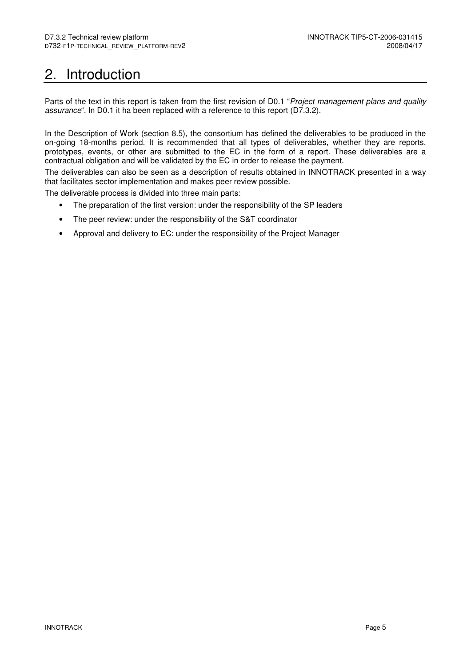# 2. Introduction

Parts of the text in this report is taken from the first revision of D0.1 "Project management plans and quality assurance". In D0.1 it ha been replaced with a reference to this report (D7.3.2).

In the Description of Work (section 8.5), the consortium has defined the deliverables to be produced in the on-going 18-months period. It is recommended that all types of deliverables, whether they are reports, prototypes, events, or other are submitted to the EC in the form of a report. These deliverables are a contractual obligation and will be validated by the EC in order to release the payment.

The deliverables can also be seen as a description of results obtained in INNOTRACK presented in a way that facilitates sector implementation and makes peer review possible.

The deliverable process is divided into three main parts:

- The preparation of the first version: under the responsibility of the SP leaders
- The peer review: under the responsibility of the S&T coordinator
- Approval and delivery to EC: under the responsibility of the Project Manager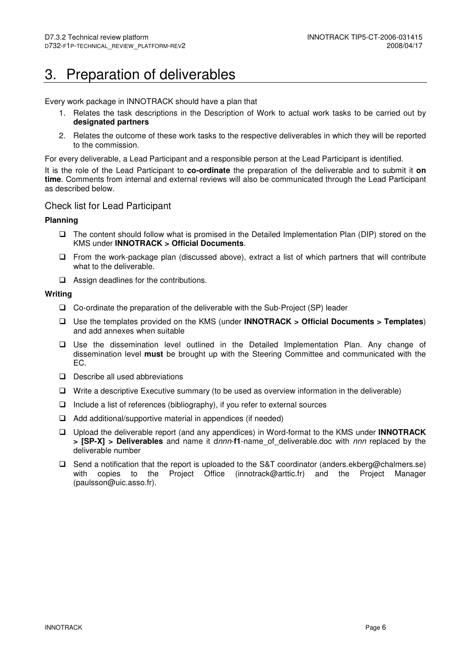## 3. Preparation of deliverables

Every work package in INNOTRACK should have a plan that

- 1. Relates the task descriptions in the Description of Work to actual work tasks to be carried out by **designated partners**
- 2. Relates the outcome of these work tasks to the respective deliverables in which they will be reported to the commission.

For every deliverable, a Lead Participant and a responsible person at the Lead Participant is identified.

It is the role of the Lead Participant to **co-ordinate** the preparation of the deliverable and to submit it **on time**. Comments from internal and external reviews will also be communicated through the Lead Participant as described below.

#### Check list for Lead Participant

#### **Planning**

- The content should follow what is promised in the Detailed Implementation Plan (DIP) stored on the KMS under **INNOTRACK > Official Documents**.
- $\Box$  From the work-package plan (discussed above), extract a list of which partners that will contribute what to the deliverable.
- $\Box$  Assign deadlines for the contributions.

#### **Writing**

- Co-ordinate the preparation of the deliverable with the Sub-Project (SP) leader
- Use the templates provided on the KMS (under **INNOTRACK > Official Documents > Templates**) and add annexes when suitable
- Use the dissemination level outlined in the Detailed Implementation Plan. Any change of dissemination level **must** be brought up with the Steering Committee and communicated with the EC.
- $\Box$  Describe all used abbreviations
- $\Box$  Write a descriptive Executive summary (to be used as overview information in the deliverable)
- $\Box$  Include a list of references (bibliography), if you refer to external sources
- $\Box$  Add additional/supportive material in appendices (if needed)
- Upload the deliverable report (and any appendices) in Word-format to the KMS under **INNOTRACK > [SP-X] > Deliverables** and name it dnnn-**f1**-name\_of\_deliverable.doc with nnn replaced by the deliverable number
- $\Box$  Send a notification that the report is uploaded to the S&T coordinator (anders.ekberg@chalmers.se) with copies to the Project Office (innotrack@arttic.fr) and the Project Manager (paulsson@uic.asso.fr).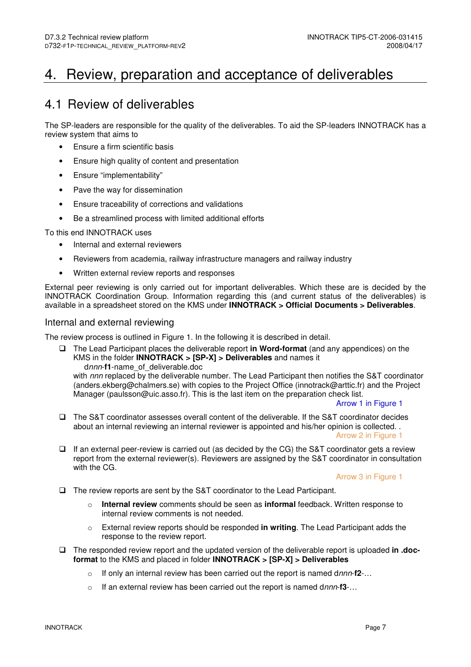## 4. Review, preparation and acceptance of deliverables

### 4.1 Review of deliverables

The SP-leaders are responsible for the quality of the deliverables. To aid the SP-leaders INNOTRACK has a review system that aims to

- Ensure a firm scientific basis
- Ensure high quality of content and presentation
- Ensure "implementability"
- Pave the way for dissemination
- Ensure traceability of corrections and validations
- Be a streamlined process with limited additional efforts

To this end INNOTRACK uses

- Internal and external reviewers
- Reviewers from academia, railway infrastructure managers and railway industry
- Written external review reports and responses

External peer reviewing is only carried out for important deliverables. Which these are is decided by the INNOTRACK Coordination Group. Information regarding this (and current status of the deliverables) is available in a spreadsheet stored on the KMS under **INNOTRACK > Official Documents > Deliverables**.

#### Internal and external reviewing

The review process is outlined in Figure 1. In the following it is described in detail.

 The Lead Participant places the deliverable report **in Word-format** (and any appendices) on the KMS in the folder **INNOTRACK > [SP-X] > Deliverables** and names it dnnn-**f1**-name\_of\_deliverable.doc

with nnn replaced by the deliverable number. The Lead Participant then notifies the S&T coordinator (anders.ekberg@chalmers.se) with copies to the Project Office (innotrack@arttic.fr) and the Project Manager (paulsson@uic.asso.fr). This is the last item on the preparation check list.

Arrow 1 in Figure 1

- The S&T coordinator assesses overall content of the deliverable. If the S&T coordinator decides about an internal reviewing an internal reviewer is appointed and his/her opinion is collected. . Arrow 2 in Figure 1
- $\Box$  If an external peer-review is carried out (as decided by the CG) the S&T coordinator gets a review report from the external reviewer(s). Reviewers are assigned by the S&T coordinator in consultation with the CG.

Arrow 3 in Figure 1

- The review reports are sent by the S&T coordinator to the Lead Participant.
	- **Internal review** comments should be seen as **informal** feedback. Written response to internal review comments is not needed.
	- o External review reports should be responded **in writing**. The Lead Participant adds the response to the review report.
- □ The responded review report and the updated version of the deliverable report is uploaded in .doc**format** to the KMS and placed in folder **INNOTRACK > [SP-X] > Deliverables**
	- o If only an internal review has been carried out the report is named dnnn-**f2**-…
	- o If an external review has been carried out the report is named dnnn-**f3**-…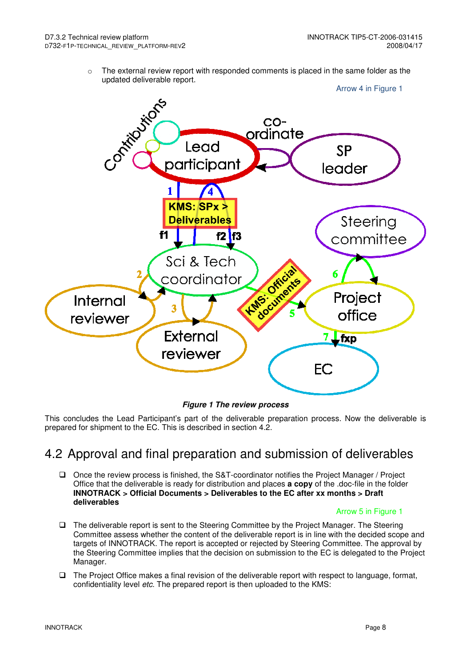$\circ$  The external review report with responded comments is placed in the same folder as the updated deliverable report.



**Figure 1 The review process** 

This concludes the Lead Participant's part of the deliverable preparation process. Now the deliverable is prepared for shipment to the EC. This is described in section 4.2.

### 4.2 Approval and final preparation and submission of deliverables

 Once the review process is finished, the S&T-coordinator notifies the Project Manager / Project Office that the deliverable is ready for distribution and places **a copy** of the .doc-file in the folder **INNOTRACK > Official Documents > Deliverables to the EC after xx months > Draft deliverables**

#### Arrow 5 in Figure 1

- The deliverable report is sent to the Steering Committee by the Project Manager. The Steering Committee assess whether the content of the deliverable report is in line with the decided scope and targets of INNOTRACK. The report is accepted or rejected by Steering Committee. The approval by the Steering Committee implies that the decision on submission to the EC is delegated to the Project Manager.
- $\Box$  The Project Office makes a final revision of the deliverable report with respect to language, format, confidentiality level *etc*. The prepared report is then uploaded to the KMS: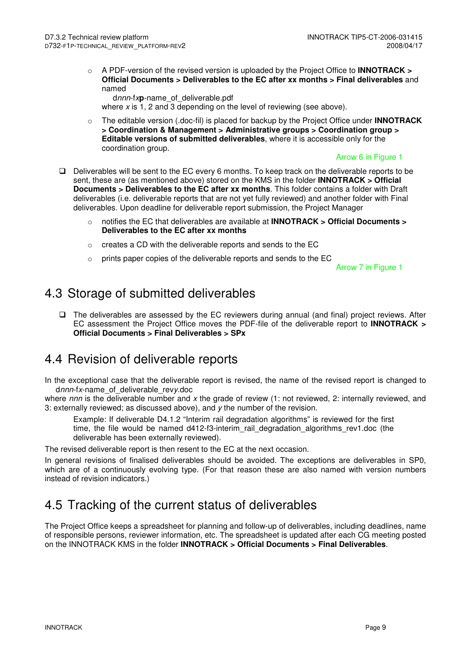o A PDF-version of the revised version is uploaded by the Project Office to **INNOTRACK > Official Documents > Deliverables to the EC after xx months > Final deliverables** and named

 dnnn-fx**p**-name\_of\_deliverable.pdf where  $x$  is 1, 2 and 3 depending on the level of reviewing (see above).

o The editable version (.doc-fil) is placed for backup by the Project Office under **INNOTRACK > Coordination & Management > Administrative groups > Coordination group > Editable versions of submitted deliverables**, where it is accessible only for the coordination group.

#### Arrow 6 in Figure 1

- $\Box$  Deliverables will be sent to the EC every 6 months. To keep track on the deliverable reports to be sent, these are (as mentioned above) stored on the KMS in the folder **INNOTRACK > Official Documents > Deliverables to the EC after xx months**. This folder contains a folder with Draft deliverables (i.e. deliverable reports that are not yet fully reviewed) and another folder with Final deliverables. Upon deadline for deliverable report submission, the Project Manager
	- o notifies the EC that deliverables are available at **INNOTRACK > Official Documents > Deliverables to the EC after xx months**
	- o creates a CD with the deliverable reports and sends to the EC
	- o prints paper copies of the deliverable reports and sends to the EC

Arrow 7 in Figure 1

### 4.3 Storage of submitted deliverables

 $\Box$  The deliverables are assessed by the EC reviewers during annual (and final) project reviews. After EC assessment the Project Office moves the PDF-file of the deliverable report to **INNOTRACK > Official Documents > Final Deliverables > SPx**

### 4.4 Revision of deliverable reports

In the exceptional case that the deliverable report is revised, the name of the revised report is changed to dnnn-fx-name\_of\_deliverable\_revy.doc

where  $nnn$  is the deliverable number and x the grade of review (1: not reviewed, 2: internally reviewed, and 3: externally reviewed; as discussed above), and  $y$  the number of the revision.

Example: If deliverable D4.1.2 "Interim rail degradation algorithms" is reviewed for the first time, the file would be named d412-f3-interim rail degradation algorithms rev1.doc (the deliverable has been externally reviewed).

The revised deliverable report is then resent to the EC at the next occasion.

In general revisions of finalised deliverables should be avoided. The exceptions are deliverables in SP0, which are of a continuously evolving type. (For that reason these are also named with version numbers instead of revision indicators.)

## 4.5 Tracking of the current status of deliverables

The Project Office keeps a spreadsheet for planning and follow-up of deliverables, including deadlines, name of responsible persons, reviewer information, etc. The spreadsheet is updated after each CG meeting posted on the INNOTRACK KMS in the folder **INNOTRACK > Official Documents > Final Deliverables**.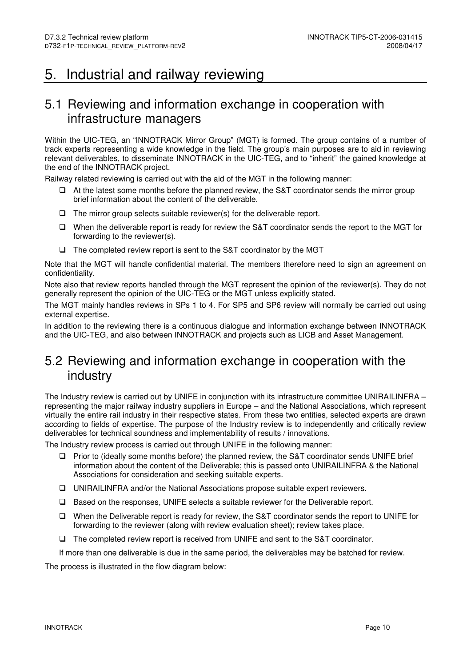## 5. Industrial and railway reviewing

### 5.1 Reviewing and information exchange in cooperation with infrastructure managers

Within the UIC-TEG, an "INNOTRACK Mirror Group" (MGT) is formed. The group contains of a number of track experts representing a wide knowledge in the field. The group's main purposes are to aid in reviewing relevant deliverables, to disseminate INNOTRACK in the UIC-TEG, and to "inherit" the gained knowledge at the end of the INNOTRACK project.

Railway related reviewing is carried out with the aid of the MGT in the following manner:

- $\Box$  At the latest some months before the planned review, the S&T coordinator sends the mirror group brief information about the content of the deliverable.
- $\Box$  The mirror group selects suitable reviewer(s) for the deliverable report.
- When the deliverable report is ready for review the S&T coordinator sends the report to the MGT for forwarding to the reviewer(s).
- The completed review report is sent to the S&T coordinator by the MGT

Note that the MGT will handle confidential material. The members therefore need to sign an agreement on confidentiality.

Note also that review reports handled through the MGT represent the opinion of the reviewer(s). They do not generally represent the opinion of the UIC-TEG or the MGT unless explicitly stated.

The MGT mainly handles reviews in SPs 1 to 4. For SP5 and SP6 review will normally be carried out using external expertise.

In addition to the reviewing there is a continuous dialogue and information exchange between INNOTRACK and the UIC-TEG, and also between INNOTRACK and projects such as LICB and Asset Management.

### 5.2 Reviewing and information exchange in cooperation with the industry

The Industry review is carried out by UNIFE in conjunction with its infrastructure committee UNIRAILINFRA – representing the major railway industry suppliers in Europe – and the National Associations, which represent virtually the entire rail industry in their respective states. From these two entities, selected experts are drawn according to fields of expertise. The purpose of the Industry review is to independently and critically review deliverables for technical soundness and implementability of results / innovations.

The Industry review process is carried out through UNIFE in the following manner:

- □ Prior to (ideally some months before) the planned review, the S&T coordinator sends UNIFE brief information about the content of the Deliverable; this is passed onto UNIRAILINFRA & the National Associations for consideration and seeking suitable experts.
- UNIRAILINFRA and/or the National Associations propose suitable expert reviewers.
- Based on the responses, UNIFE selects a suitable reviewer for the Deliverable report.
- □ When the Deliverable report is ready for review, the S&T coordinator sends the report to UNIFE for forwarding to the reviewer (along with review evaluation sheet); review takes place.
- The completed review report is received from UNIFE and sent to the S&T coordinator.

If more than one deliverable is due in the same period, the deliverables may be batched for review.

The process is illustrated in the flow diagram below: